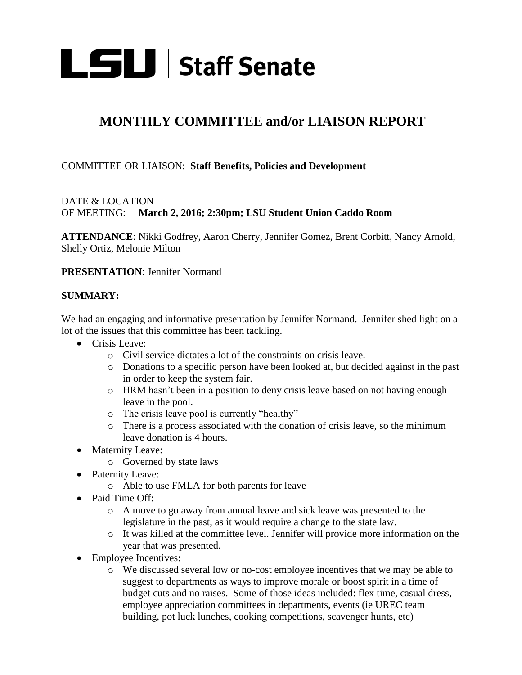

## **MONTHLY COMMITTEE and/or LIAISON REPORT**

## COMMITTEE OR LIAISON: **Staff Benefits, Policies and Development**

## DATE & LOCATION OF MEETING: **March 2, 2016; 2:30pm; LSU Student Union Caddo Room**

**ATTENDANCE**: Nikki Godfrey, Aaron Cherry, Jennifer Gomez, Brent Corbitt, Nancy Arnold, Shelly Ortiz, Melonie Milton

**PRESENTATION**: Jennifer Normand

## **SUMMARY:**

We had an engaging and informative presentation by Jennifer Normand. Jennifer shed light on a lot of the issues that this committee has been tackling.

- Crisis Leave:
	- o Civil service dictates a lot of the constraints on crisis leave.
	- o Donations to a specific person have been looked at, but decided against in the past in order to keep the system fair.
	- o HRM hasn't been in a position to deny crisis leave based on not having enough leave in the pool.
	- o The crisis leave pool is currently "healthy"
	- o There is a process associated with the donation of crisis leave, so the minimum leave donation is 4 hours.
- Maternity Leave:
	- o Governed by state laws
- Paternity Leave:
	- o Able to use FMLA for both parents for leave
- Paid Time Off:
	- o A move to go away from annual leave and sick leave was presented to the legislature in the past, as it would require a change to the state law.
	- o It was killed at the committee level. Jennifer will provide more information on the year that was presented.
- Employee Incentives:
	- o We discussed several low or no-cost employee incentives that we may be able to suggest to departments as ways to improve morale or boost spirit in a time of budget cuts and no raises. Some of those ideas included: flex time, casual dress, employee appreciation committees in departments, events (ie UREC team building, pot luck lunches, cooking competitions, scavenger hunts, etc)